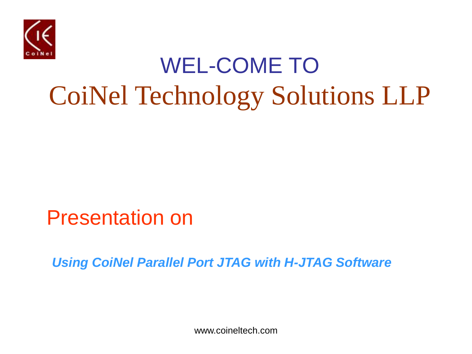

## WEL-COME TO CoiNel Technology Solutions LLP

Presentation on

*Using CoiNel Parallel Port JTAG with H-JTAG Software*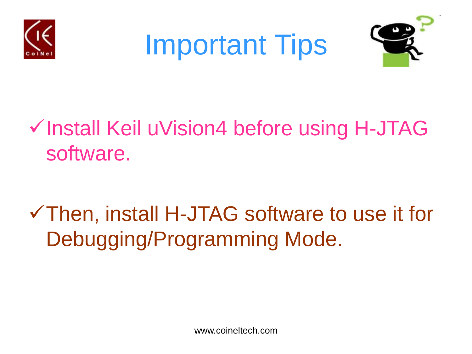





### √ Install Keil uVision4 before using H-JTAG software.

### Then, install H-JTAG software to use it for Debugging/Programming Mode.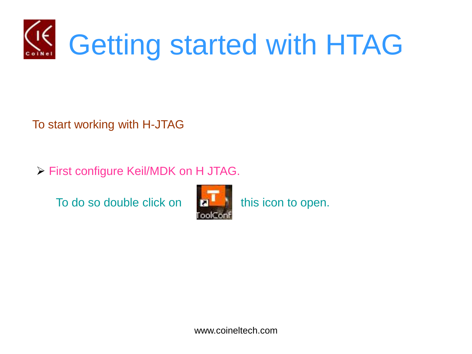

To start working with H-JTAG

First configure Keil/MDK on H JTAG.

To do so double click on  $\begin{bmatrix} 1 & 1 \end{bmatrix}$  this icon to open.

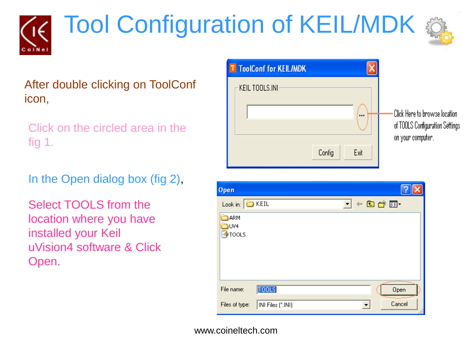# **Tool Configuration of KEIL/MDK**



#### After double clicking on ToolConf icon,

Click on the circled area in the fig 1.

In the Open dialog box (fig 2),

Select TOOLS from the location where you have installed your Keil uVision4 software & Click Open.



| Open                 |                   |                     |        |
|----------------------|-------------------|---------------------|--------|
| Look in: <b>EXEL</b> |                   | <b>기 + 白 d* EI*</b> |        |
| ARM                  |                   |                     |        |
| UV4<br><b>TOOLS</b>  |                   |                     |        |
|                      |                   |                     |        |
|                      |                   |                     |        |
|                      |                   |                     |        |
| File name:           | <b>TOOLS</b>      |                     | Open   |
| Files of type:       | INI Files (*.INI) |                     | Cancel |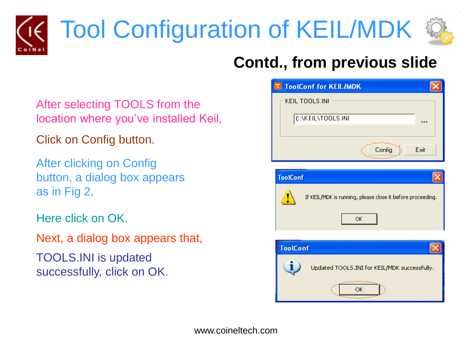

## Tool Configuration of KEIL/MDK



#### **Contd., from previous slide**

After selecting TOOLS from the location where you've installed Keil,

Click on Config button.

After clicking on Config button, a dialog box appears as in Fig 2,

Here click on OK.

Next, a dialog box appears that, TOOLS.INI is updated successfully, click on OK.

| <b>T</b> ToolConf for KEIL/MDK |      |
|--------------------------------|------|
| KEIL TOOLS.INI                 |      |
| C:\KEIL\TOOLS.INI              | ---  |
|                                |      |
| Config                         | Exit |



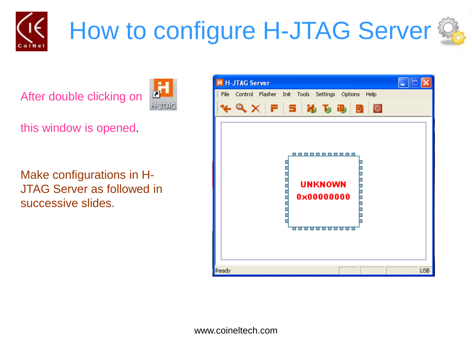

## How to configure H-JTAG Server



After double clicking on



this window is opened.

Make configurations in H-JTAG Server as followed in successive slides.

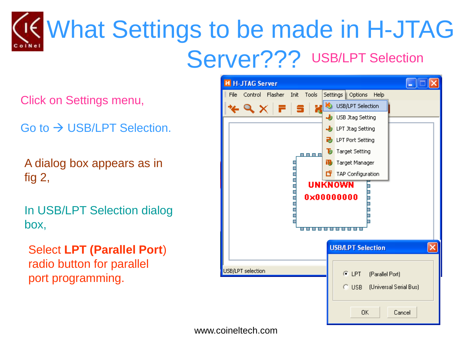## What Settings to be made in H-JTAG Server??? USB/LPT Selection

Click on Settings menu,

Go to  $\rightarrow$  USB/LPT Selection.

A dialog box appears as in fig 2,

In USB/LPT Selection dialog box,

Select **LPT (Parallel Port**) radio button for parallel port programming.

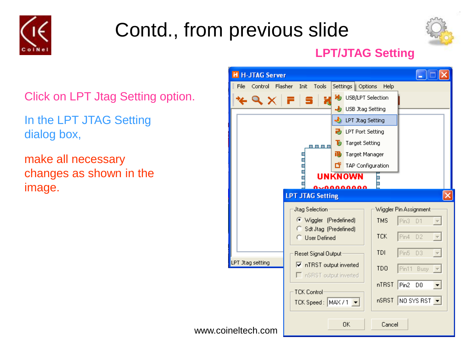



#### **LPT/JTAG Setting**

Click on LPT Jtag Setting option.

In the LPT JTAG Setting dialog box,

make all necessary changes as shown in the image.

| <b>H</b> H-JTAG Server  |                                                                             |   |                           |                 |                        |   |
|-------------------------|-----------------------------------------------------------------------------|---|---------------------------|-----------------|------------------------|---|
| File<br>Control Flasher | Tools<br>Init                                                               |   | Settings   Options        | Help            |                        |   |
| $\times$ 9 $\times$     | X                                                                           |   | USB/LPT Selection         |                 |                        |   |
|                         |                                                                             |   | USB Jtag Setting          |                 |                        |   |
|                         |                                                                             |   | <b>UPT Jtag Setting</b>   |                 |                        |   |
|                         |                                                                             |   | <b>D</b> LPT Port Setting |                 |                        |   |
|                         | 8 8 8 8                                                                     | ъ | Target Setting            |                 |                        |   |
|                         |                                                                             | æ | Target Manager            |                 |                        |   |
|                         |                                                                             | ロ | TAP Configuration         |                 |                        |   |
|                         |                                                                             |   | <b>UNKNOWN</b>            | $\blacksquare$  |                        |   |
|                         |                                                                             |   | nnnnnnn                   |                 |                        |   |
|                         | <b>LPT JTAG Setting</b>                                                     |   |                           |                 |                        | × |
|                         | Jtag Selection                                                              |   |                           |                 | Wiggler Pin Assignment |   |
|                         | (C Wiggler (Predefined)                                                     |   |                           | <b>TMS</b>      | Pin3 D1                |   |
|                         | Sdt Jtag (Predefined)<br><b>User Defined</b>                                |   |                           | <b>TCK</b>      | Pin4<br>D <sub>2</sub> |   |
|                         |                                                                             |   |                           | <b>TDI</b>      | Pin5<br>D <sub>3</sub> |   |
| LPT Jtag setting        | Reset Signal Output:                                                        |   |                           |                 |                        |   |
|                         | $\overline{\triangledown}$ nTRST output inverted<br>□ nSRST output inverted |   |                           | TD <sub>0</sub> | Pin11 Busy             |   |
|                         |                                                                             |   |                           | nTRST           | Pin2 DO                |   |
|                         | <b>TCK Control</b>                                                          |   |                           |                 |                        |   |
|                         | TCK Speed: MAX / 1 ▼                                                        |   |                           |                 | nSRST NO SYS RST       |   |
|                         |                                                                             |   | 0K                        | Cancel          |                        |   |
| www.coineltech.com      |                                                                             |   |                           |                 |                        |   |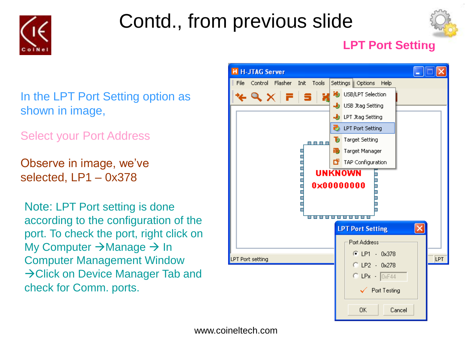



#### **LPT Port Setting**

In the LPT Port Setting option as shown in image,

Select your Port Address

Observe in image, we've selected, LP1 – 0x378

Note: LPT Port setting is done according to the configuration of the port. To check the port, right click on My Computer  $\rightarrow$  Manage  $\rightarrow$  In Computer Management Window  $\rightarrow$  Click on Device Manager Tab and check for Comm. ports.

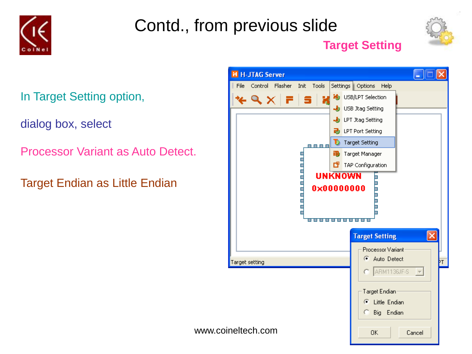



#### **Target Setting**

In Target Setting option,

dialog box, select

Processor Variant as Auto Detect.

Target Endian as Little Endian

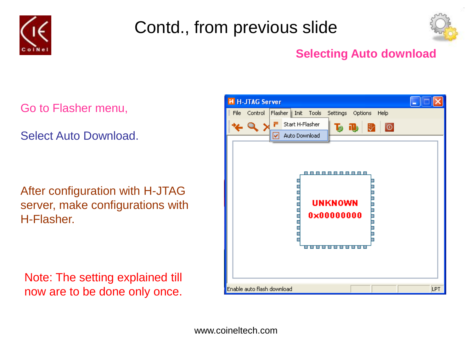



#### **Selecting Auto download**

Go to Flasher menu,

Select Auto Download.

After configuration with H-JTAG server, make configurations with H-Flasher.

Note: The setting explained till now are to be done only once.

| <b>H H-JTAG Server</b>     |                 |                                             |         |      |     |
|----------------------------|-----------------|---------------------------------------------|---------|------|-----|
| File<br>Control<br>Flasher | Tools<br>Init   | Settings                                    | Options | Help |     |
|                            | Start H-Flasher | $\mathbf{L}$ iii                            |         | ই ∣⊙ |     |
| v                          | Auto Download   |                                             |         |      |     |
|                            |                 | -----------<br><b>UNKNOWN</b><br>0x00000000 |         |      |     |
| Enable auto flash download |                 |                                             |         |      | LPT |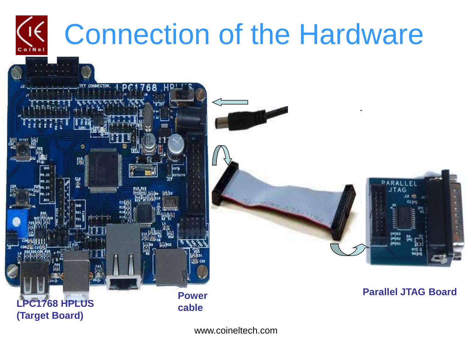

# Connection of the Hardware





**Power Contract Contract Contract Parallel JTAG Board**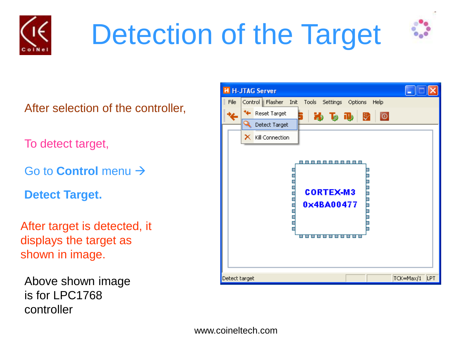

# Detection of the Target



After selection of the controller,

To detect target,

Go to **Control** menu

**Detect Target.**

After target is detected, it displays the target as shown in image.

Above shown image is for LPC1768 controller

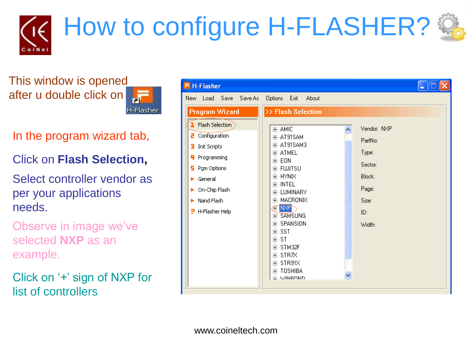

This window is opened after u double click on



- In the program wizard tab,
- Click on **Flash Selection,**
- Select controller vendor as per your applications needs.
- Observe in image we've selected **NXP** as an example.
- Click on '+' sign of NXP for list of controllers

| <b>F</b> H-Flasher                                                                                                                                                                                                               |                                                                                                                                                                                                                                                                     |                                                                                         |
|----------------------------------------------------------------------------------------------------------------------------------------------------------------------------------------------------------------------------------|---------------------------------------------------------------------------------------------------------------------------------------------------------------------------------------------------------------------------------------------------------------------|-----------------------------------------------------------------------------------------|
| New Load Save Save As<br><b>Program Wizard</b><br><b>I</b> Flash Selection<br>Configuration<br>a.<br>Init Scripts<br>з<br>Programming<br>щ<br>Pgm Options<br>5.<br>General<br>On-Chip Flash<br>Nand Flash<br>H-Flasher Help<br>э | Options<br>About<br>Exit<br>>> Flash Selection<br>亩- AMIC<br>面- AT91SAM<br>由- AT91SAM3<br>由- ATMEL<br>亩- EON<br>中 FUJITSU<br>EE-HYNIX<br>由 INTEL<br>面- LUMINARY<br>中·MACRONIX<br><b>EFNXPT</b><br>中 SAMSUNG<br>面- SPANSION<br>中· SST<br>⊞⊹ST<br>中·STM32F<br>面·STR7X | Vendor: NXP<br>PartNo:<br>Type:<br>Sector:<br>Block:<br>Page:<br>Size:<br>ID:<br>Width: |
|                                                                                                                                                                                                                                  | 面·STR91X<br>面- TOSHIBA<br>ம்WINROND                                                                                                                                                                                                                                 |                                                                                         |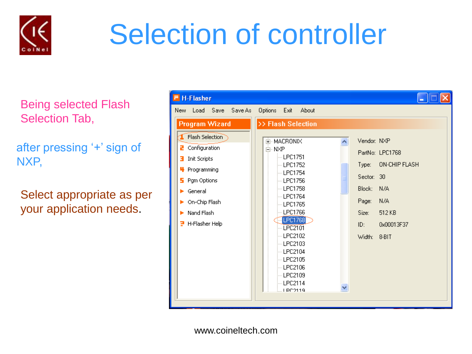

## Selection of controller

Being selected Flash Selection Tab,

after pressing '+' sign of NXP,

Select appropriate as per your application needs.

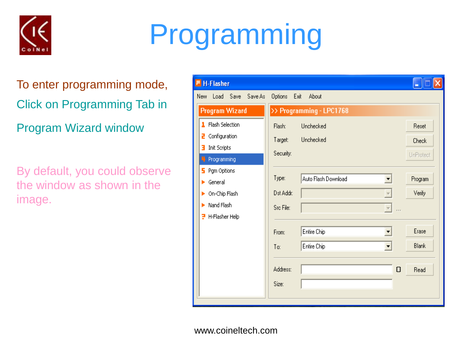

# Programming

To enter programming mode, Click on Programming Tab in Program Wizard window

By default, you could observe the window as shown in the image.

| <b>H-Flasher</b>            |                              |                                 |
|-----------------------------|------------------------------|---------------------------------|
| New Load Save Save As       | Options<br>Exit<br>About     |                                 |
| <b>Program Wizard</b>       | >> Programming - LPC1768     |                                 |
| 1 Flash Selection           | Unchecked<br>Flash:          | Reset                           |
| Configuration<br>z          | Unchecked<br>Target:         | Check                           |
| <b>Init Scripts</b><br>в    | Security:                    | UnProtect                       |
| Programming<br>4<br>5.      |                              |                                 |
| Pgm Options<br>General<br>ь | Type:<br>Auto Flash Download | Program<br>$\blacktriangledown$ |
| On-Chip Flash               | Dst Addr:                    | Verify<br>$\overline{\nabla}$   |
| Nand Flash<br>ь             | Src File:                    | $\overline{\psi}$               |
| H-Flasher Help<br>P         |                              |                                 |
|                             | Entire Chip<br>From:         | Erase<br>▼                      |
|                             | Entire Chip<br>To:           | <b>Blank</b><br>▼               |
|                             |                              |                                 |
|                             | Address:                     | $\Omega$<br>Read                |
|                             | Size:                        |                                 |
|                             |                              |                                 |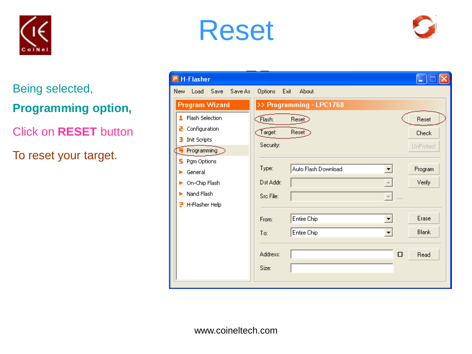





Being selected, **Programming option,**

Click on **RESET** button

To reset your target.

| <b>F</b> H-Flasher           |                        |                          |                          |              |
|------------------------------|------------------------|--------------------------|--------------------------|--------------|
| Load Save<br>Save As<br>New. | <b>Options</b><br>Exit | About                    |                          |              |
| <b>Program Wizard</b>        |                        | >> Programming - LPC1768 |                          |              |
| 1 Flash Selection            | Flash:                 | Res <sub>1</sub>         |                          | Reset        |
| Configuration<br>z           | Target:                | <b>Reset</b>             |                          | Check        |
| Init Scripts<br>з            | Security:              |                          |                          | UnProtect    |
| Programming                  |                        |                          |                          |              |
| Pgm Options<br>5.<br>General | Type:                  | Auto Flash Download      | $\blacktriangledown$     | Program      |
| On-Chip Flash                | Dst Addr:              |                          | $\overline{\phantom{a}}$ | Verify       |
| Nand Flash                   | Src File:              |                          | $\mathbf{v}$             |              |
| H-Flasher Help<br>Ε          |                        |                          | $\cdots$                 |              |
|                              | From:                  | Entire Chip              | ▼                        | Erase        |
|                              | To:                    | Entire Chip              | $\blacktriangledown$     | <b>Blank</b> |
|                              |                        |                          |                          |              |
|                              | Address:               |                          | $\Omega$                 | Read         |
|                              | Size:                  |                          |                          |              |
|                              |                        |                          |                          |              |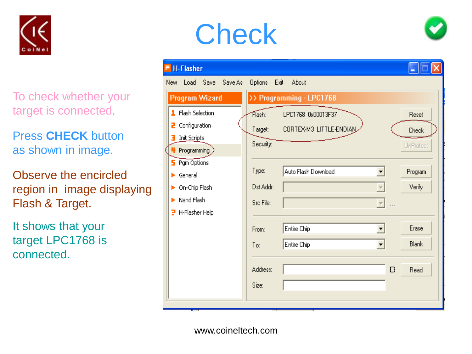

To check whether your target is connected,

Press **CHECK** button as shown in image.

Observe the encircled region in image displaying Flash & Target.

It shows that your target LPC1768 is connected.

## **Check**



|     | H-Flasher                         |                   |                              |                                     |  |
|-----|-----------------------------------|-------------------|------------------------------|-------------------------------------|--|
| New |                                   | Load Save Save As | Options                      | Exit<br>About                       |  |
|     | Program Wizard                    |                   |                              | >> Programming - LPC1768            |  |
|     | 1 Flash Selection                 |                   | $\widehat{\mathsf{Flash}}$ : | LPC1768 0x00013F37<br>Reset         |  |
| z   | Configuration                     |                   | Target:                      | CORTEX-M3 LITTLE-ENDIAN<br>Check    |  |
| з   | Init Scripts                      |                   | Security:                    | UnProtect                           |  |
|     | $\blacktriangleright$ Programming |                   |                              |                                     |  |
|     | $5$ Pgm Options<br>General        |                   | Type:                        | Auto Flash Download<br>Program<br>▼ |  |
|     | On-Chip Flash                     |                   | Dst Addr:                    | Verify<br>$\overline{\nabla}$       |  |
|     | Nand Flash                        |                   | Src File:                    | $\overline{\nabla}$                 |  |
| 3   | H-Flasher Help                    |                   |                              |                                     |  |
|     |                                   |                   | From:                        | Erase<br>Entire Chip<br>▼           |  |
|     |                                   |                   | To:                          | <b>Blank</b><br>Entire Chip<br>▼    |  |
|     |                                   |                   |                              |                                     |  |
|     |                                   |                   | Address:                     | O<br>Read                           |  |
|     |                                   |                   | Size:                        |                                     |  |
|     |                                   |                   |                              |                                     |  |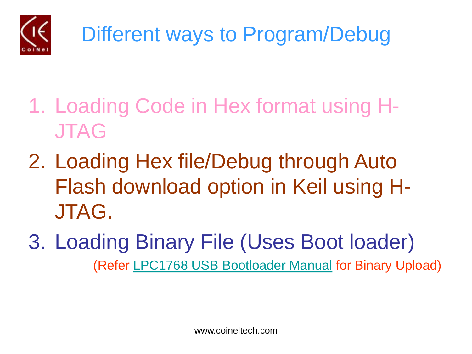

- 1. Loading Code in Hex format using H-JTAG
- 2. Loading Hex file/Debug through Auto Flash download option in Keil using H-JTAG.
- 3. Loading Binary File (Uses Boot loader) (Refer [LPC1768 USB Bootloader Manual](http://www.coineltech.com/pdf/101012.pdf) for Binary Upload)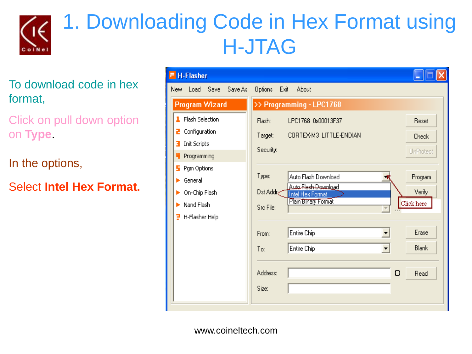

### 1. Downloading Code in Hex Format using H-JTAG

To download code in hex format,

Click on pull down option on **Type**.

In the options,

Select **Intel Hex Format.**

| <b>H-Flasher</b><br>F.             |                                                             |              |
|------------------------------------|-------------------------------------------------------------|--------------|
| New Load Save Save As              | Options Exit<br>About                                       |              |
| <b>Program Wizard</b>              | >> Programming - LPC1768                                    |              |
| 1 Flash Selection                  | Flash:<br>LPC1768 0x00013F37                                | Reset        |
| Configuration<br>2.                | CORTEX-M3 LITTLE-ENDIAN<br>Target:                          | <b>Check</b> |
| Init Scripts<br>з.                 | Security:                                                   | UnProtect    |
| <sup>4</sup> Programming           |                                                             |              |
| Pgm Options<br>5.<br>General<br>ь. | Type:<br>Auto Flash Download                                | Program      |
| On-Chip Flash                      | Auto Flash Download<br>Dst Addra<br><b>Intel Hex Format</b> | Verify       |
| Nand Flash                         | Plain Binary Format<br>Src File:                            | Click here   |
| 근 H-Flasher Help                   |                                                             |              |
|                                    | Entire Chip<br>From:                                        | Erase        |
|                                    | Entire Chip<br>To:<br>▾                                     | Blank        |
|                                    | Address:<br>$\Omega$                                        | Read         |
|                                    | Size:                                                       |              |
|                                    |                                                             |              |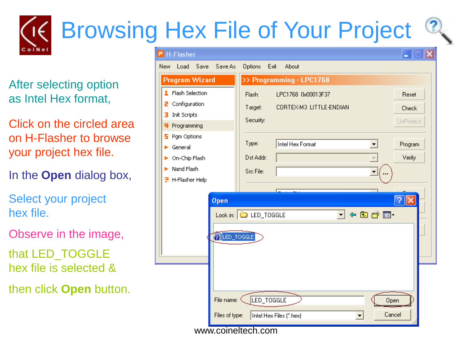# Browsing Hex File of Your Project

After selecting option as Intel Hex format,

Click on the circled area on H-Flasher to browse your project hex file.

In the **Open** dialog box,

Select your project hex file.

Observe in the image,

that LED\_TOGGLE hex file is selected &

then click **Open** button.

| H-Flasher                      | ٠                                                                  |
|--------------------------------|--------------------------------------------------------------------|
| New<br>Load Save<br>Save As    | Options<br>Exit<br>About                                           |
| <b>Program Wizard</b>          | >> Programming - LPC1768                                           |
| Flash Selection<br>ı           | Flash:<br>LPC1768 0x00013F37<br>Reset                              |
| Configuration<br>2             | CORTEX-M3 LITTLE-ENDIAN<br>Target:<br>Check                        |
| Init Scripts<br>Е              | Security:<br>UnProtect                                             |
| Programming                    |                                                                    |
| Pgm Options<br>5               | Type:<br>Intel Hex Format                                          |
| General                        | Program                                                            |
| On-Chip Flash                  | Verify<br>Dst Addr:                                                |
| Nand Flash                     | Src File:                                                          |
| H-Flasher Help<br>э            |                                                                    |
| Open                           | Ø<br>Look in: C LED_TOGGLE<br>4日首団<br>$\mathbf{r}$<br>2 LED_TOGGLE |
| File name: <<br>Files of type: | LED_TOGGLE<br>Open<br>Cancel<br>Intel Hex Files (*.hex)            |
|                                | www.coineltech.com                                                 |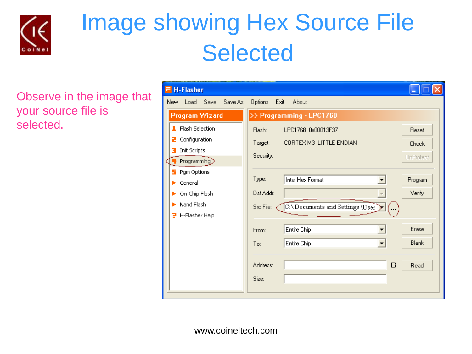

### Image showing Hex Source File **Selected**

Observe in the image that your source file is selected.

| <b>H-Flasher</b>             |                                              |              |
|------------------------------|----------------------------------------------|--------------|
| New Load Save Save As        | Options<br>Exit<br>About                     |              |
| Program Wizard               | >> Programming - LPC1768                     |              |
| 1 Flash Selection            | Flash:<br>LPC1768 0x00013F37                 | Reset        |
| Configuration<br>2           | CORTEX-M3 LITTLE-ENDIAN<br>Target:           | <b>Check</b> |
| Init Scripts                 | Security:                                    | UnProtect    |
| Programming<br>F Pgm Options |                                              |              |
| General                      | Type:<br>Intel Hex Format                    | Program      |
| On-Chip Flash                | Dst Addr:<br>$\overline{\phantom{m}}$        | Verify       |
| Nand Flash                   | C:\Documents and Settings \User<br>Src File: |              |
| 근 H-Flasher Help             |                                              |              |
|                              | Entire Chip<br>From:                         | Erase        |
|                              | Entire Chip<br>To:                           | <b>Blank</b> |
|                              |                                              |              |
|                              | Address:<br>O                                | Read         |
|                              | Size:                                        |              |
|                              |                                              |              |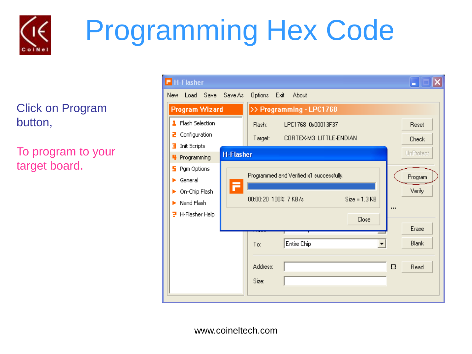

# Programming Hex Code

Click on Program button,

To program to your target board.

| $F$ H-Flasher                         |                                          |                  |
|---------------------------------------|------------------------------------------|------------------|
| Load Save Save As<br>New.             | Options Exit<br>About                    |                  |
| <b>Program Wizard</b>                 | >> Programming - LPC1768                 |                  |
| 1 Flash Selection                     | Flash:<br>LPC1768 0x00013F37             | Reset            |
| Configuration<br>z                    | CORTEX-M3 LITTLE-ENDIAN<br>Target:       | <b>Check</b>     |
| Init Scripts<br>з<br><b>H-Flasher</b> |                                          | <b>UnProtect</b> |
| Programming<br>4.                     |                                          |                  |
| Pgm Options<br>5.<br>General<br>ь     | Programmed and Verified x1 successfully. | Program          |
| F<br>On-Chip Flash<br>þ.              |                                          | Verify           |
| Nand Flash                            | $Size = 1.3 KB$<br>00:00:20 100% 7 KB/s  |                  |
| H-Flasher Help<br>э                   |                                          |                  |
|                                       | Close                                    | Erase            |
|                                       |                                          | <b>Blank</b>     |
|                                       | Entire Chip<br>To:                       |                  |
|                                       | Address:                                 | $\Omega$<br>Read |
|                                       | Size:                                    |                  |
|                                       |                                          |                  |
|                                       |                                          |                  |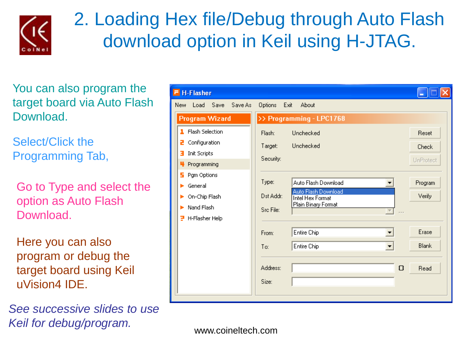

#### 2. Loading Hex file/Debug through Auto Flash download option in Keil using H-JTAG.

You can also program the target board via Auto Flash Download.

Select/Click the Programming Tab,

Go to Type and select the option as Auto Flash Download.

Here you can also program or debug the target board using Keil uVision4 IDE.

*See successive slides to use Keil for debug/program.* 

| $F$ H-Flasher                  |                                                                        |              |
|--------------------------------|------------------------------------------------------------------------|--------------|
| New Load Save Save As          | Options Exit<br>About                                                  |              |
| <b>Program Wizard</b>          | >> Programming - LPC1768                                               |              |
| 1 Flash Selection              | Unchecked<br>Flash:                                                    | Reset        |
| Configuration<br>z.            | Unchecked<br>Target:                                                   | Check        |
| Init Scripts<br>з.             | Security:                                                              | UnProtect    |
| <sup>4</sup> Programming       |                                                                        |              |
| 5 Pgm Options<br>General<br>ь. | Type:<br>Auto Flash Download                                           | Program      |
| On-Chip Flash<br>ь.            | Auto Flash Download<br>Dst Addr:<br><b>Intel Hex Format</b>            | Verify       |
| Nand Flash<br>ь.               | Plain Binary Format<br>Src File:<br>$\overline{\phantom{m}}$<br>$\sim$ |              |
| H-Flasher Help<br>э.           |                                                                        |              |
|                                | Entire Chip<br>From:<br>$\overline{\phantom{a}}$                       | Erase        |
|                                | Entire Chip<br>To:                                                     | <b>Blank</b> |
|                                |                                                                        |              |
|                                | Address:<br>0                                                          | Read         |
|                                | Size:                                                                  |              |
|                                |                                                                        |              |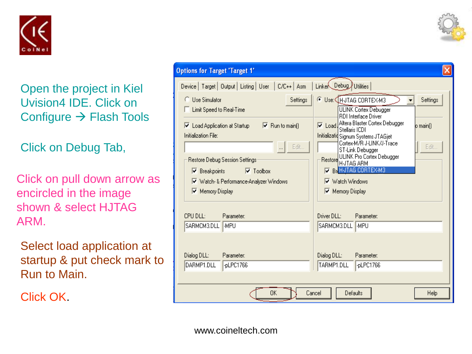

Open the project in Kiel Uvision4 IDE. Click on Configure  $\rightarrow$  Flash Tools

Click on Debug Tab,

Click on pull down arrow as encircled in the image shown & select HJTAG ARM.

Select load application at startup & put check mark to Run to Main.

Click OK.

| <b>Options for Target 'Target 1'</b>                                                                                                                                                                                                                                                                                                   |                                                                                                                                                                                                                                                                                                                                                                                                                         |  |  |  |  |  |  |  |  |
|----------------------------------------------------------------------------------------------------------------------------------------------------------------------------------------------------------------------------------------------------------------------------------------------------------------------------------------|-------------------------------------------------------------------------------------------------------------------------------------------------------------------------------------------------------------------------------------------------------------------------------------------------------------------------------------------------------------------------------------------------------------------------|--|--|--|--|--|--|--|--|
| Device   Target   Output   Listing   User   C/C++   Asm                                                                                                                                                                                                                                                                                | Linker Debug Utilities                                                                                                                                                                                                                                                                                                                                                                                                  |  |  |  |  |  |  |  |  |
| <b>C</b> Use Simulator<br>Settings<br>Limit Speed to Real-Time<br>$\nabla$ Run to main()<br>$\nabla$ Load Application at Startup<br>Initialization File:<br>Edit<br>Restore Debug Session Settings:<br>$\overline{\triangledown}$ Toolbox<br>$\triangleright$ Breakpoints<br>V Watch- & Performance-Analyzer Windows<br>Memory Display | © Use: HJTAG CORTEX-M3<br>Settings<br><b>ULINK Cortex Debugger</b><br><b>RDI</b> Interface Driver<br>V Load Altera Blaster Cortex Debugger<br>lo mainí).<br>Stellaris ICDI<br>Initializatid Signum Systems JTAGjet<br>Cortex-M/R J-LINK/J-Trace<br>Edit<br>ST-Link Debugger<br><b>ULINK Pro Cortex Debugger</b><br>Restore HJTAG ARM<br><b>Z</b> Br HJTAG CORTEX-M3<br>Watch Windows<br>⊽<br><b>Memory Display</b><br>⊽ |  |  |  |  |  |  |  |  |
| CPU DLL:<br>Parameter:<br>SARMCM3.DLL MPU                                                                                                                                                                                                                                                                                              | Driver DLL:<br>Parameter:<br>SARMCM3.DLL  -MPU                                                                                                                                                                                                                                                                                                                                                                          |  |  |  |  |  |  |  |  |
| Dialog DLL:<br>Parameter:<br>DARMP1.DLL<br>-pLPC1766                                                                                                                                                                                                                                                                                   | Dialog DLL:<br>Parameter:<br>TARMP1.DLL<br>-pLPC1766                                                                                                                                                                                                                                                                                                                                                                    |  |  |  |  |  |  |  |  |
| 0K<br>Cancel<br>Defaults<br>Help                                                                                                                                                                                                                                                                                                       |                                                                                                                                                                                                                                                                                                                                                                                                                         |  |  |  |  |  |  |  |  |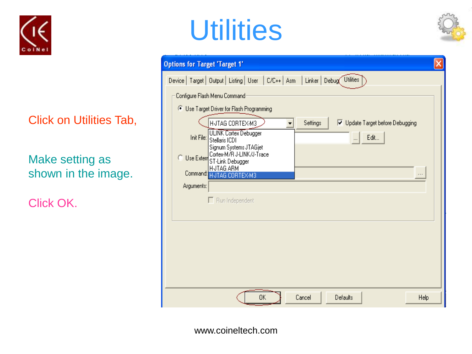

Click on Utilities Tab,

Make setting as shown in the image.

Click OK.

## **Utilities**



| <b>Options for Target 'Target 1'</b>                                               |
|------------------------------------------------------------------------------------|
| Device   Target   Output   Listing   User   C/C++   Asm   Linker   Debug Utilities |
| Configure Flash Menu Command                                                       |
| <sup>6</sup> Use Target Driver for Flash Programming                               |
| HJTAG CORTEX-M3<br>Settings<br>Ⅳ Update Target before Debugging<br>▼               |
| ULINK Cortex Debugger<br>Edit<br>Init File:<br>$\ddots$<br>Stellaris ICDI          |
| Signum Systems JTAGjet<br>Cortex-M/R J-LINK/J-Trace<br><b>C</b> Use Extern         |
| ST-Link Debugger<br>HJTAG ARM                                                      |
| Command: HUTAG CORTEX-M3<br>Arguments:                                             |
|                                                                                    |
| $\Box$ Run Independent                                                             |
|                                                                                    |
|                                                                                    |
|                                                                                    |
|                                                                                    |
|                                                                                    |
| 0K<br>Defaults<br>Cancel<br>Help                                                   |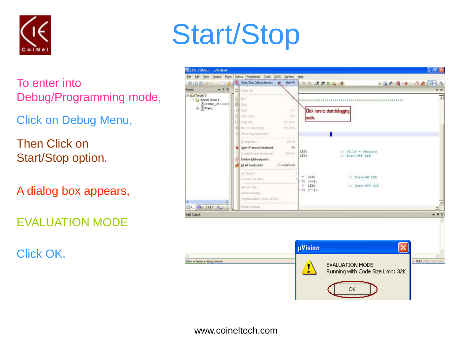

To enter into Debug/Programming mode,

Click on Debug Menu,

Then Click on Start/Stop option.

A dialog box appears,

EVALUATION MODE

Click OK.

## Start/Stop

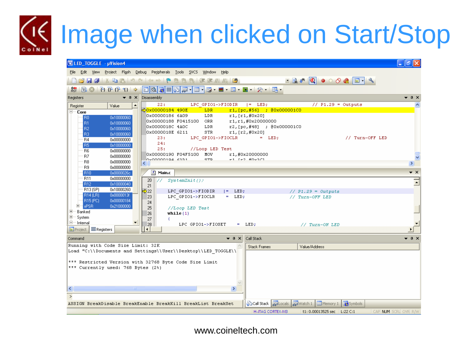# Image when clicked on Start/Stop

| <b>WILED_TOGGLE - µVision4</b>                                                                                                                                                                                                                                                                                                                                                                                                                                                                                                                                        |                                                                                                                                                                                                                                                                                                                                                                                                                                                                                                                                                                                                                                                                                                                                                                            | l⊥∥∂∥×                             |
|-----------------------------------------------------------------------------------------------------------------------------------------------------------------------------------------------------------------------------------------------------------------------------------------------------------------------------------------------------------------------------------------------------------------------------------------------------------------------------------------------------------------------------------------------------------------------|----------------------------------------------------------------------------------------------------------------------------------------------------------------------------------------------------------------------------------------------------------------------------------------------------------------------------------------------------------------------------------------------------------------------------------------------------------------------------------------------------------------------------------------------------------------------------------------------------------------------------------------------------------------------------------------------------------------------------------------------------------------------------|------------------------------------|
|                                                                                                                                                                                                                                                                                                                                                                                                                                                                                                                                                                       | File Edit View Project Flash Debug Peripherals Tools SVCS Window Help                                                                                                                                                                                                                                                                                                                                                                                                                                                                                                                                                                                                                                                                                                      |                                    |
|                                                                                                                                                                                                                                                                                                                                                                                                                                                                                                                                                                       | ▁ <mark>▗▞▗▎</mark> ░▙▓▏▘▞▕▘░▓░░▏░░▓░▓▏▓▏▓▏▏▏▏▏▏▏▏▏▏▏▏▏▏▏                                                                                                                                                                                                                                                                                                                                                                                                                                                                                                                                                                                                                                                                                                                  |                                    |
|                                                                                                                                                                                                                                                                                                                                                                                                                                                                                                                                                                       | <mark>· 동! 리 · 첫   주 배 · 로 - 로 - 로 (리 트라) (주 리 - 로 - 로 - 로 - 스 리 - 호 - 로 - 로 - 로 - 로 - 로</mark> - 호 리 - 로 - 로 -                                                                                                                                                                                                                                                                                                                                                                                                                                                                                                                                                                                                                                                            |                                    |
| Registers                                                                                                                                                                                                                                                                                                                                                                                                                                                                                                                                                             | $\blacktriangleright$ $\uparrow$ $\times$   Disassembly                                                                                                                                                                                                                                                                                                                                                                                                                                                                                                                                                                                                                                                                                                                    | $\bullet$ $\uparrow$ $\times$      |
| $\blacktriangle$<br>Register<br>Value                                                                                                                                                                                                                                                                                                                                                                                                                                                                                                                                 | LPC GPIO1->FIODIR $  =$ LED;<br>$//$ P1.29 = Outputs<br>22:                                                                                                                                                                                                                                                                                                                                                                                                                                                                                                                                                                                                                                                                                                                |                                    |
| ⊟ <sup>….</sup> Core<br>R <sub>0</sub><br>0x10000060<br>R1<br>0x10000060<br>R <sub>2</sub><br>0x10000060<br>R3<br>0x10000060<br><b>R4</b><br>0x00000000<br>R <sub>5</sub><br>0x10000000<br><b>B6</b><br>0x00000000<br>R7<br>0x00000000<br>R <sub>8</sub><br>0x00000000<br>R9<br>0x00000000<br><b>R10</b><br>0x0000026c<br><b>B11</b><br>0x00000000<br>R12<br>0x10000040<br>· R13 (SP)<br>0x10000260<br>R14 (LR)<br>0x0000013f<br>R15 (PC)<br>0x00000184<br>Electric xPSR<br>0x21000000<br>田… Banked<br>中… System<br>Ē.<br>Internal<br>$\equiv$ Registers<br>E Project | d>0x00000184 490E<br>LDR.<br>$r1, [pc, #56]$ ; 80x000001C0<br>r1, [r1, #0x20]<br>0x00000186 6A09<br>LDR<br>0x00000188 F0415100 ORR<br>r1, r1, #0x20000000<br>LDR<br>r2, [pc, #48] ; @0x000001C0<br>0x0000018C 4A0C<br>STR<br>0x0000018E 6211<br>r1, [r2, #0x20]<br>// Turn-OFF LED<br>LPC GPIO1->FIOCLR<br>$=$ LED;<br>23:<br>24:<br>25:<br>//Loop LED Test<br>0x00000190 F04F5100 MOV<br>r1,#0x20000000<br>ed Teo Housen<br>nvonnoniga kani<br>STD.<br>≺∣<br>图 Main.c<br>20<br>$\ /\rangle$ SystemInit();<br>21<br>$\Rightarrow$ 22<br>LPC GPIO1->FIODIR $  =$ LED;<br>// $P1.29 = 0$ utputs<br>LPC GPIO1->FIOCLR = LED;<br>23<br>// Turn-OFF LED<br>24<br>25<br>//Loop LED Test<br>26<br>while $(1)$<br>27<br>LPC GPIO1->FIOSET<br>28<br>$=$ LED;<br>// Turn-ON LED<br>О | $\star$ $\times$<br>$\overline{z}$ |
| Command                                                                                                                                                                                                                                                                                                                                                                                                                                                                                                                                                               | $\bullet$ $\downarrow$ $\times$<br>Call Stack                                                                                                                                                                                                                                                                                                                                                                                                                                                                                                                                                                                                                                                                                                                              | $\bullet$ $\sqrt{a}$ $\times$      |
| Running with Code Size Limit: 32K<br>*** Currently used: 768 Bytes (2%)<br>≺<br>$\blacksquare$                                                                                                                                                                                                                                                                                                                                                                                                                                                                        | <b>Stack Frames</b><br>Value/Address<br>Load "C:\\Documents and Settings\\User\\Desktop\\LED TOGGLE\\<br>*** Restricted Version with 32768 Byte Code Size Limit<br>$\rightarrow$                                                                                                                                                                                                                                                                                                                                                                                                                                                                                                                                                                                           |                                    |
|                                                                                                                                                                                                                                                                                                                                                                                                                                                                                                                                                                       | Go Call Stack   网 Locals   网 Watch 1   ■ Memory 1   G Symbols<br>ASSIGN BreakDisable BreakEnable BreakKill BreakList BreakSet                                                                                                                                                                                                                                                                                                                                                                                                                                                                                                                                                                                                                                              |                                    |
|                                                                                                                                                                                                                                                                                                                                                                                                                                                                                                                                                                       | t1: 0.00013525 sec   L:22 C:1<br>CAP NUM SCRL OVR R/W<br>H-JTAG CORTEX-M3                                                                                                                                                                                                                                                                                                                                                                                                                                                                                                                                                                                                                                                                                                  |                                    |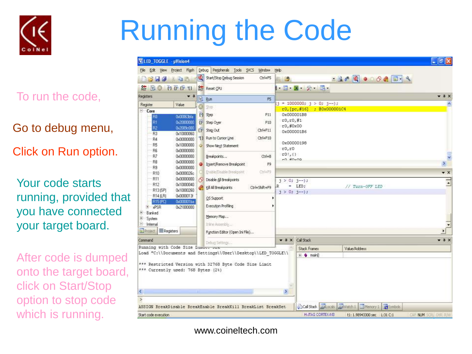

# Running the Code

To run the code,

Go to debug menu,

Click on Run option.

Your code starts running, provided that you have connected your target board.

After code is dumped onto the target board, click on Start/Stop option to stop code which is running.

| 图 LED_TOGGLE - uVision4            |            |   |                                                               |                     |                              |                                                         | <b>D</b>                        |
|------------------------------------|------------|---|---------------------------------------------------------------|---------------------|------------------------------|---------------------------------------------------------|---------------------------------|
| File Edit View Project Flash       |            |   | Debug Peripherals Tools SNCS Window Help                      |                     |                              |                                                         |                                 |
| <b>Barr</b><br>3 H J               |            | Q | Start/Stop Debug Session<br>Ctrl+F5                           | 作 鸿                 |                              | <b>BAQ OOO BILL</b>                                     |                                 |
| 誥<br>且                             | 0.0001     |   | <b>Der</b> Reset CPU                                          |                     | 1、四、国 父 马、                   |                                                         |                                 |
| Registers                          | $-1$       |   | $\overline{E}$ . Run<br>F5                                    |                     |                              |                                                         | $+1$ X                          |
| Register                           | Value      |   |                                                               |                     | $j = 1000000; j > 0; j--);$  |                                                         |                                 |
| $E$ Core                           |            |   | $S$ up                                                        |                     | r0, [pc, #16] : 80x000001C4  |                                                         |                                 |
| B <sub>0</sub>                     | 0x00063bla |   | $\left\{ \cdot \right\}$ Step<br>F11                          |                     | 0x000001BB                   |                                                         |                                 |
| B1                                 | 0x20000000 |   | <b>B</b> Step Over<br>F10                                     | r0, r0, #1          |                              |                                                         |                                 |
| R <sub>2</sub>                     | 0x2009c000 |   | {} Step Out<br>Ctrl+F11                                       | r0,#0x00            |                              |                                                         |                                 |
| R <sub>3</sub>                     | 0x10000060 |   |                                                               |                     | 0x000001B6                   |                                                         |                                 |
| R4                                 | 0x00000000 |   | Run to Cursor Line<br>Ctrl+F10                                |                     |                              |                                                         |                                 |
| R <sub>5</sub>                     | 0x10000000 |   | Show Next Statement                                           |                     | 0x00000198                   |                                                         |                                 |
| R <sub>6</sub>                     | 0x00000000 |   |                                                               | r0, r0              |                              |                                                         |                                 |
| R7                                 | 0x00000000 |   | $Cot + 8$<br>Breakpoints                                      | r0!,()              |                              |                                                         | $\overline{\phantom{a}}$        |
| R <sub>B</sub>                     | 0x00000000 |   | Insert/Remove Breakpoint<br>F9                                | vn #nvna            |                              |                                                         | $\mathcal{P}$                   |
| R9                                 | 0x00000000 |   |                                                               |                     |                              |                                                         |                                 |
| <b>B10</b>                         | 0x0000026c |   | Erable (Disable Breakpoint<br>Ctrl+F9                         |                     |                              |                                                         | $\star$ x                       |
| <b>B11</b>                         | 0x00000000 |   | Disable All Breakpoints                                       | $j > 0; j-);$       |                              |                                                         |                                 |
| <b>B12</b>                         | 0x10000040 |   | Kill All Breakpoints<br>Ctrl+Shift+F9                         | R                   | $=$ LED:                     | // Turn-OFF LED                                         | $\blacksquare$                  |
| R13 <sub>ISPI</sub>                | 0x10000260 |   |                                                               | $j > 0$ ; $j - j$ ; |                              |                                                         |                                 |
| R14 (LR)                           | 0x0000013f |   | 05 Support                                                    |                     |                              |                                                         |                                 |
| <b>R15 (PC)</b>                    | 0x000001ba |   |                                                               |                     |                              |                                                         |                                 |
| $+$ $*$ PSB                        | 0x21000000 |   | Execution Profiling                                           |                     |                              |                                                         |                                 |
| <b>E</b> Banked                    |            |   |                                                               |                     |                              |                                                         |                                 |
| + System                           |            |   | Memory Map                                                    |                     |                              |                                                         |                                 |
| $=$ Internal                       |            |   | Inline Assembly                                               |                     |                              |                                                         |                                 |
| E Project<br><b>ERegisters</b>     |            |   | Function Editor (Open Ini File)                               |                     |                              |                                                         |                                 |
|                                    |            |   |                                                               |                     |                              |                                                         |                                 |
| Command                            |            |   | Debug Selfings                                                |                     | $\Psi$ $\Psi$ $X$ Call Stack |                                                         | $\mathbf{v}$ 1 $\times$         |
| Running with Code Size Lumic. Je   |            |   |                                                               |                     | Stack Frames                 | Value/Address                                           |                                 |
|                                    |            |   | Load "C:\\Documents and Settings\\User\\Desktop\\LED TOGGLE\\ |                     | E O main(                    |                                                         |                                 |
|                                    |            |   |                                                               |                     |                              |                                                         |                                 |
|                                    |            |   | *** Restricted Version with 32768 Byte Code Size Limit        |                     |                              |                                                         |                                 |
| *** Currently used: 768 Bytes (2%) |            |   |                                                               |                     |                              |                                                         |                                 |
|                                    |            |   |                                                               |                     |                              |                                                         |                                 |
|                                    |            |   |                                                               |                     |                              |                                                         |                                 |
| ×.                                 |            |   |                                                               | $\geq$              |                              |                                                         |                                 |
| $\geq$                             |            |   |                                                               |                     |                              |                                                         |                                 |
|                                    |            |   | ASSIGN BreakDisable BreakEnable BreakKill BreakList BreakSet  |                     |                              | Cal Stack assl.ocals asswered: 1<br>Memory 1<br>Symbols |                                 |
| Start code execution               |            |   |                                                               |                     | <b>H-JTAG CORTEX-MB</b>      | t1:1.98943300 sec 1:31 C:1                              | <b>EARL N. PK SCRL CHR. RAW</b> |
|                                    |            |   |                                                               |                     |                              |                                                         |                                 |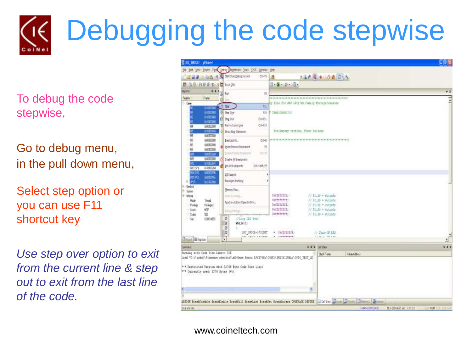# Debugging the code stepwise

To debug the code stepwise,

Go to debug menu, in the pull down menu,

Select step option or you can use F11 shortcut key

*Use step over option to exit from the current line & step out to exit from the last line of the code.*

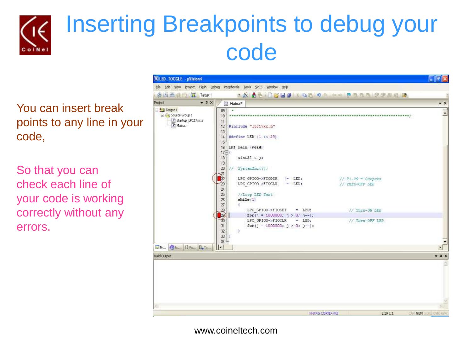

### Inserting Breakpoints to debug your code

You can insert break points to any line in your code,

So that you can check each line of your code is working correctly without any errors.